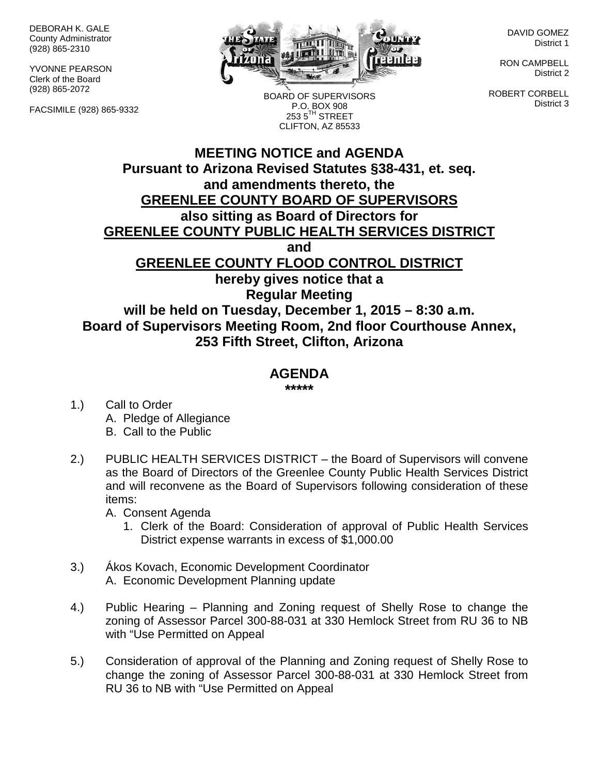DEBORAH K. GALE County Administrator (928) 865-2310

YVONNE PEARSON Clerk of the Board (928) 865-2072

FACSIMILE (928) 865-9332



BOARD OF SUPERVISORS P.O. BOX 908  $2535^{\text{TH}}$  STREET CLIFTON, AZ 85533

DAVID GOMEZ District 1

RON CAMPBELL District 2

ROBERT CORBELL District 3

## **MEETING NOTICE and AGENDA Pursuant to Arizona Revised Statutes §38-431, et. seq. and amendments thereto, the GREENLEE COUNTY BOARD OF SUPERVISORS also sitting as Board of Directors for GREENLEE COUNTY PUBLIC HEALTH SERVICES DISTRICT and GREENLEE COUNTY FLOOD CONTROL DISTRICT hereby gives notice that a Regular Meeting will be held on Tuesday, December 1, 2015 – 8:30 a.m. Board of Supervisors Meeting Room, 2nd floor Courthouse Annex, 253 Fifth Street, Clifton, Arizona**

## **AGENDA**

**\*\*\*\*\***

- 1.) Call to Order A. Pledge of Allegiance B. Call to the Public
- 2.) PUBLIC HEALTH SERVICES DISTRICT the Board of Supervisors will convene as the Board of Directors of the Greenlee County Public Health Services District and will reconvene as the Board of Supervisors following consideration of these items:

A. Consent Agenda

- 1. Clerk of the Board: Consideration of approval of Public Health Services District expense warrants in excess of \$1,000.00
- 3.) Ákos Kovach, Economic Development Coordinator A. Economic Development Planning update
- 4.) Public Hearing Planning and Zoning request of Shelly Rose to change the zoning of Assessor Parcel 300-88-031 at 330 Hemlock Street from RU 36 to NB with "Use Permitted on Appeal
- 5.) Consideration of approval of the Planning and Zoning request of Shelly Rose to change the zoning of Assessor Parcel 300-88-031 at 330 Hemlock Street from RU 36 to NB with "Use Permitted on Appeal